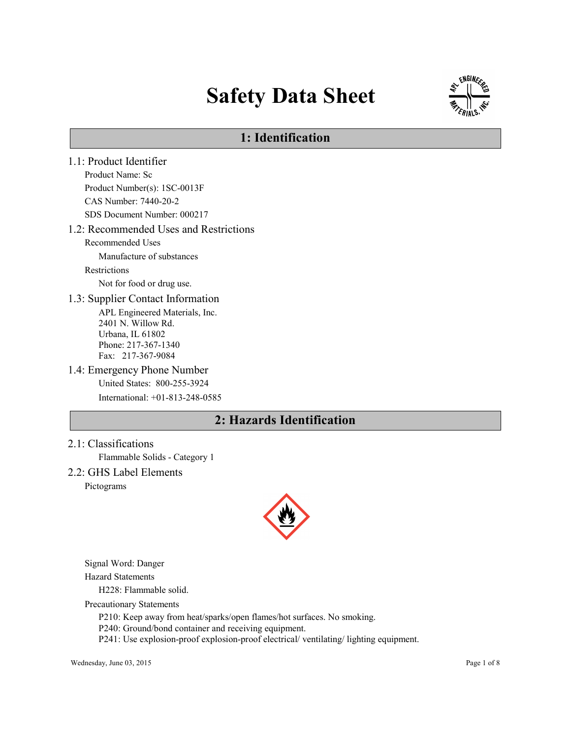# Safety Data Sheet



# 1: Identification

1.1: Product Identifier Product Name: Sc Product Number(s): 1SC-0013F CAS Number: 7440-20-2 SDS Document Number: 000217 1.2: Recommended Uses and Restrictions Recommended Uses Manufacture of substances Restrictions Not for food or drug use. 1.3: Supplier Contact Information APL Engineered Materials, Inc. 2401 N. Willow Rd. Urbana, IL 61802 Phone: 217-367-1340 Fax: 217-367-9084 1.4: Emergency Phone Number United States: 800-255-3924 International: +01-813-248-0585

# 2: Hazards Identification

2.1: Classifications

Flammable Solids - Category 1

2.2: GHS Label Elements Pictograms



Signal Word: Danger

Hazard Statements

H228: Flammable solid.

Precautionary Statements

P210: Keep away from heat/sparks/open flames/hot surfaces. No smoking.

P240: Ground/bond container and receiving equipment.

P241: Use explosion-proof explosion-proof electrical/ ventilating/ lighting equipment.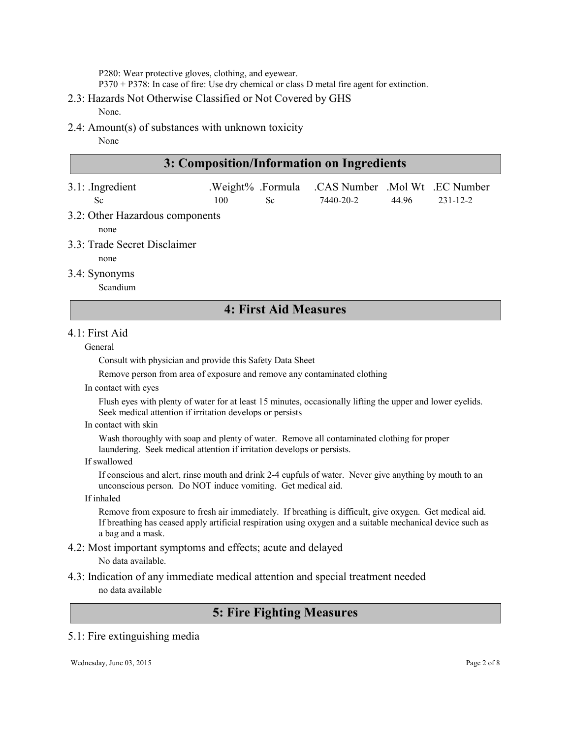P280: Wear protective gloves, clothing, and eyewear.

P370 + P378: In case of fire: Use dry chemical or class D metal fire agent for extinction.

#### 2.3: Hazards Not Otherwise Classified or Not Covered by GHS

None.

2.4: Amount(s) of substances with unknown toxicity

None

| 3: Composition/Information on Ingredients |     |     |                                                  |       |          |
|-------------------------------------------|-----|-----|--------------------------------------------------|-------|----------|
| $3.1$ : Ingredient                        |     |     | .Weight% .Formula .CAS Number .Mol Wt .EC Number |       |          |
| Sc.                                       | 100 | Sc. | 7440-20-2                                        | 44 96 | 231-12-2 |

3.2: Other Hazardous components

none

- 3.3: Trade Secret Disclaimer
	- none
- 3.4: Synonyms

Scandium

### 4: First Aid Measures

#### 4.1: First Aid

#### General

Consult with physician and provide this Safety Data Sheet

Remove person from area of exposure and remove any contaminated clothing

In contact with eyes

Flush eyes with plenty of water for at least 15 minutes, occasionally lifting the upper and lower eyelids. Seek medical attention if irritation develops or persists

#### In contact with skin

Wash thoroughly with soap and plenty of water. Remove all contaminated clothing for proper laundering. Seek medical attention if irritation develops or persists.

If swallowed

If conscious and alert, rinse mouth and drink 2-4 cupfuls of water. Never give anything by mouth to an unconscious person. Do NOT induce vomiting. Get medical aid.

#### If inhaled

Remove from exposure to fresh air immediately. If breathing is difficult, give oxygen. Get medical aid. If breathing has ceased apply artificial respiration using oxygen and a suitable mechanical device such as a bag and a mask.

#### 4.2: Most important symptoms and effects; acute and delayed No data available.

#### 4.3: Indication of any immediate medical attention and special treatment needed no data available

# 5: Fire Fighting Measures

#### 5.1: Fire extinguishing media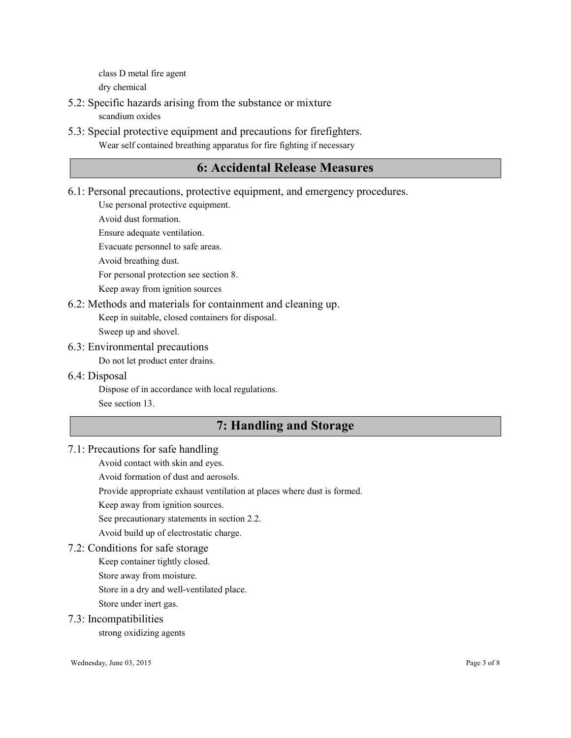class D metal fire agent dry chemical

- 5.2: Specific hazards arising from the substance or mixture scandium oxides
- 5.3: Special protective equipment and precautions for firefighters. Wear self contained breathing apparatus for fire fighting if necessary

### 6: Accidental Release Measures

6.1: Personal precautions, protective equipment, and emergency procedures.

Use personal protective equipment.

Avoid dust formation.

Ensure adequate ventilation.

Evacuate personnel to safe areas.

Avoid breathing dust.

For personal protection see section 8.

Keep away from ignition sources

#### 6.2: Methods and materials for containment and cleaning up.

Keep in suitable, closed containers for disposal.

Sweep up and shovel.

#### 6.3: Environmental precautions

Do not let product enter drains.

6.4: Disposal

Dispose of in accordance with local regulations. See section 13.

## 7: Handling and Storage

#### 7.1: Precautions for safe handling

Avoid contact with skin and eyes.

Avoid formation of dust and aerosols.

Provide appropriate exhaust ventilation at places where dust is formed.

Keep away from ignition sources.

See precautionary statements in section 2.2.

Avoid build up of electrostatic charge.

#### 7.2: Conditions for safe storage

Keep container tightly closed.

Store away from moisture.

Store in a dry and well-ventilated place.

Store under inert gas.

#### 7.3: Incompatibilities

strong oxidizing agents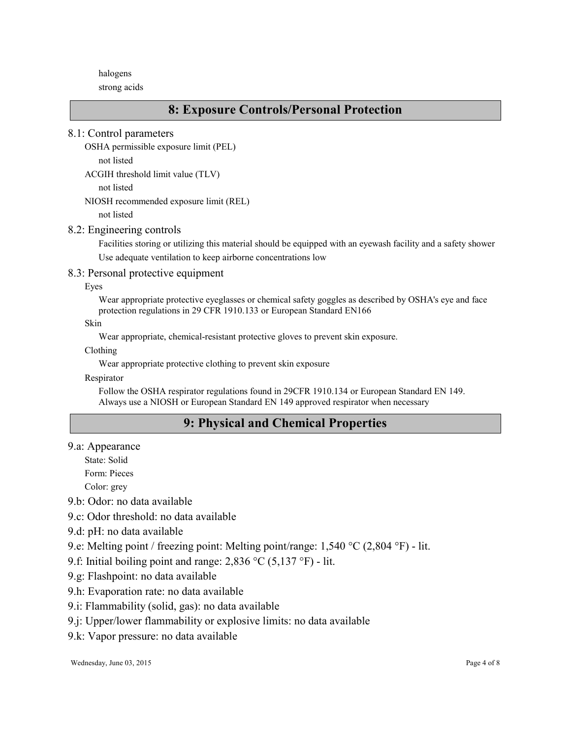halogens

strong acids

### 8: Exposure Controls/Personal Protection

8.1: Control parameters

```
OSHA permissible exposure limit (PEL)
```
not listed

```
ACGIH threshold limit value (TLV)
```
not listed

NIOSH recommended exposure limit (REL)

not listed

#### 8.2: Engineering controls

Facilities storing or utilizing this material should be equipped with an eyewash facility and a safety shower Use adequate ventilation to keep airborne concentrations low

#### 8.3: Personal protective equipment

Eyes

Wear appropriate protective eyeglasses or chemical safety goggles as described by OSHA's eye and face protection regulations in 29 CFR 1910.133 or European Standard EN166

Skin

Wear appropriate, chemical-resistant protective gloves to prevent skin exposure.

Clothing

Wear appropriate protective clothing to prevent skin exposure

Respirator

Follow the OSHA respirator regulations found in 29CFR 1910.134 or European Standard EN 149. Always use a NIOSH or European Standard EN 149 approved respirator when necessary

# 9: Physical and Chemical Properties

9.a: Appearance

State: Solid

Form: Pieces

Color: grey

9.b: Odor: no data available

- 9.c: Odor threshold: no data available
- 9.d: pH: no data available
- 9.e: Melting point / freezing point: Melting point/range: 1,540 °C (2,804 °F) lit.

9.f: Initial boiling point and range: 2,836 °C (5,137 °F) - lit.

- 9.g: Flashpoint: no data available
- 9.h: Evaporation rate: no data available
- 9.i: Flammability (solid, gas): no data available
- 9.j: Upper/lower flammability or explosive limits: no data available
- 9.k: Vapor pressure: no data available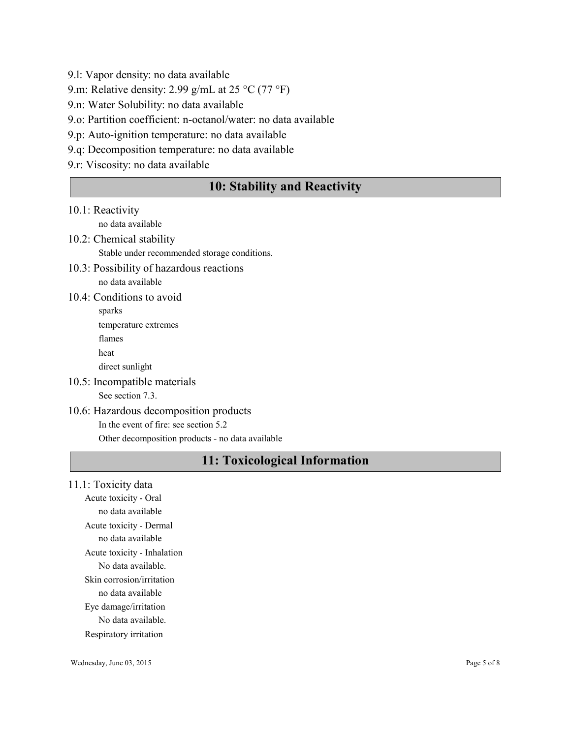9.l: Vapor density: no data available

9.m: Relative density: 2.99 g/mL at 25 °C (77 °F)

9.n: Water Solubility: no data available

9.o: Partition coefficient: n-octanol/water: no data available

9.p: Auto-ignition temperature: no data available

9.q: Decomposition temperature: no data available

9.r: Viscosity: no data available

# 10: Stability and Reactivity

#### 10.1: Reactivity

no data available

### 10.2: Chemical stability Stable under recommended storage conditions.

- 10.3: Possibility of hazardous reactions no data available
- 10.4: Conditions to avoid

10.5: Incompatible materials See section 7.3.

### 10.6: Hazardous decomposition products In the event of fire: see section 5.2

Other decomposition products - no data available

# 11: Toxicological Information

#### 11.1: Toxicity data

Acute toxicity - Oral no data available Acute toxicity - Dermal no data available Acute toxicity - Inhalation No data available. Skin corrosion/irritation no data available Eye damage/irritation No data available. Respiratory irritation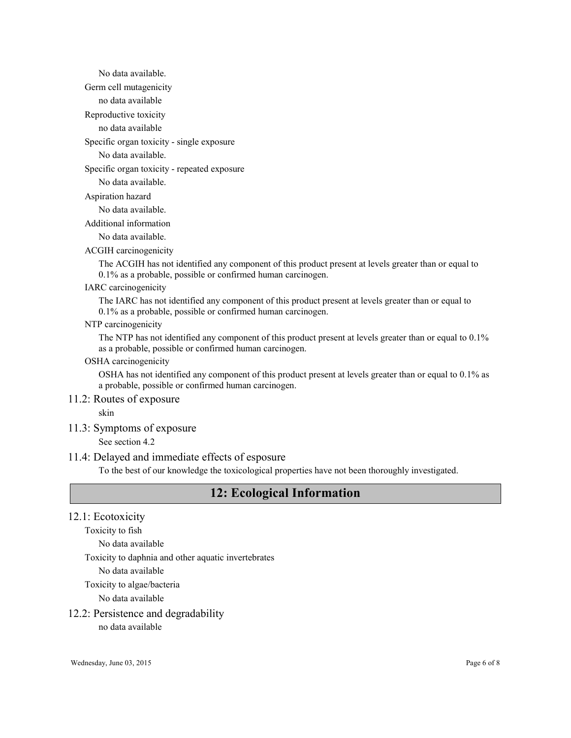No data available. Germ cell mutagenicity

no data available

Reproductive toxicity

no data available

Specific organ toxicity - single exposure

No data available.

Specific organ toxicity - repeated exposure

No data available.

Aspiration hazard

No data available.

Additional information

No data available.

ACGIH carcinogenicity

The ACGIH has not identified any component of this product present at levels greater than or equal to 0.1% as a probable, possible or confirmed human carcinogen.

#### IARC carcinogenicity

The IARC has not identified any component of this product present at levels greater than or equal to 0.1% as a probable, possible or confirmed human carcinogen.

#### NTP carcinogenicity

The NTP has not identified any component of this product present at levels greater than or equal to 0.1% as a probable, possible or confirmed human carcinogen.

OSHA carcinogenicity

OSHA has not identified any component of this product present at levels greater than or equal to 0.1% as a probable, possible or confirmed human carcinogen.

#### 11.2: Routes of exposure

skin

#### 11.3: Symptoms of exposure

See section 4.2

#### 11.4: Delayed and immediate effects of esposure

To the best of our knowledge the toxicological properties have not been thoroughly investigated.

# 12: Ecological Information

#### 12.1: Ecotoxicity

Toxicity to fish

No data available

Toxicity to daphnia and other aquatic invertebrates

No data available

#### Toxicity to algae/bacteria

No data available

#### 12.2: Persistence and degradability

no data available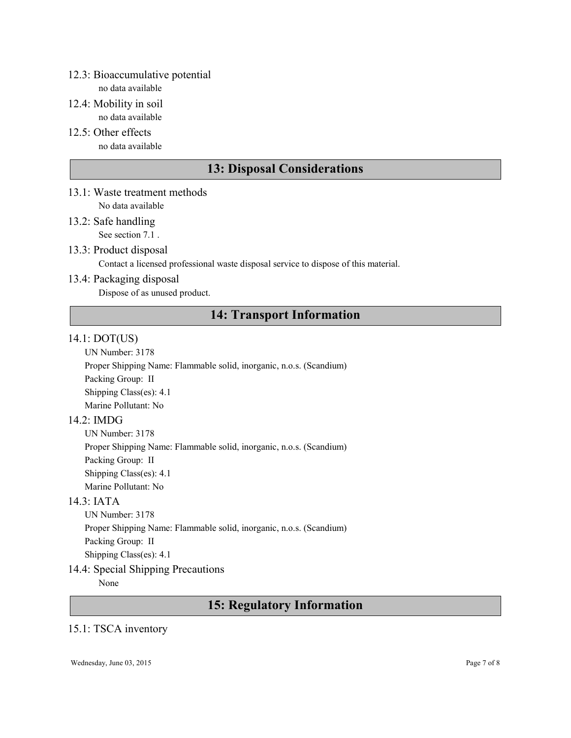### 12.3: Bioaccumulative potential

no data available

- 12.4: Mobility in soil no data available
- 12.5: Other effects no data available

# 13: Disposal Considerations

- 13.1: Waste treatment methods No data available
- 13.2: Safe handling See section 7.1.
- 13.3: Product disposal

Contact a licensed professional waste disposal service to dispose of this material.

13.4: Packaging disposal

Dispose of as unused product.

# 14: Transport Information

### 14.1: DOT(US)

UN Number: 3178

Proper Shipping Name: Flammable solid, inorganic, n.o.s. (Scandium) Packing Group: II

Shipping Class(es): 4.1 Marine Pollutant: No

### 14.2: IMDG

UN Number: 3178 Proper Shipping Name: Flammable solid, inorganic, n.o.s. (Scandium) Packing Group: II Shipping Class(es): 4.1 Marine Pollutant: No

### 14.3: IATA

UN Number: 3178 Proper Shipping Name: Flammable solid, inorganic, n.o.s. (Scandium) Packing Group: II Shipping Class(es): 4.1

### 14.4: Special Shipping Precautions

None

## 15: Regulatory Information

### 15.1: TSCA inventory